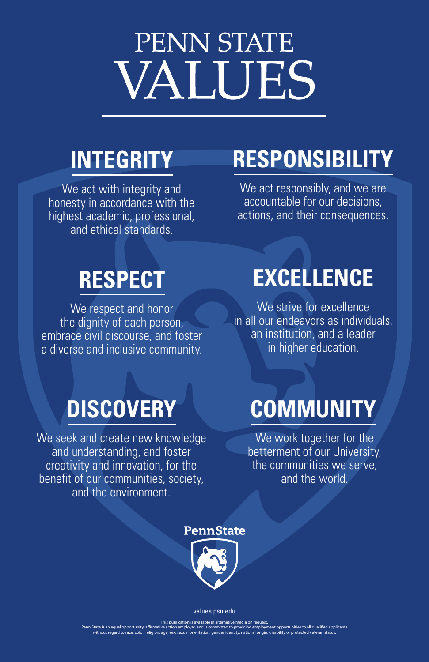# PENN STATE VALUES

### **INTEGRITY**

We act with integrity and honesty in accordance with the highest academic, professional, and ethical standards.

## **DISCOVERY**

We seek and create new knowledge and understanding, and foster creativity and innovation, for the benefit of our communities, society,

We strive for excellence in all our endeavors as individuals, an institution, and a leader in higher education.

We respect and honor the dignity of each person, embrace civil discourse, and foster a diverse and inclusive community.

### and the environment.



### **EXCELLENCE**

We act responsibly, and we are accountable for our decisions, actions, and their consequences.

We work together for the betterment of our University, the communities we serve, and the world.

### **RESPECT**

### **RESPONSIBILITY**

### **COMMUNITY**

#### values.psu.edu

This publication is available in alternative media on request.

Penn State is an equal opportunity, affirmative action employer, and is committed to providing employment opportunities to all qualified applicants without regard to race, color, religion, age, sex, sexual orientation, gender identity, national origin, disability or protected veteran status.